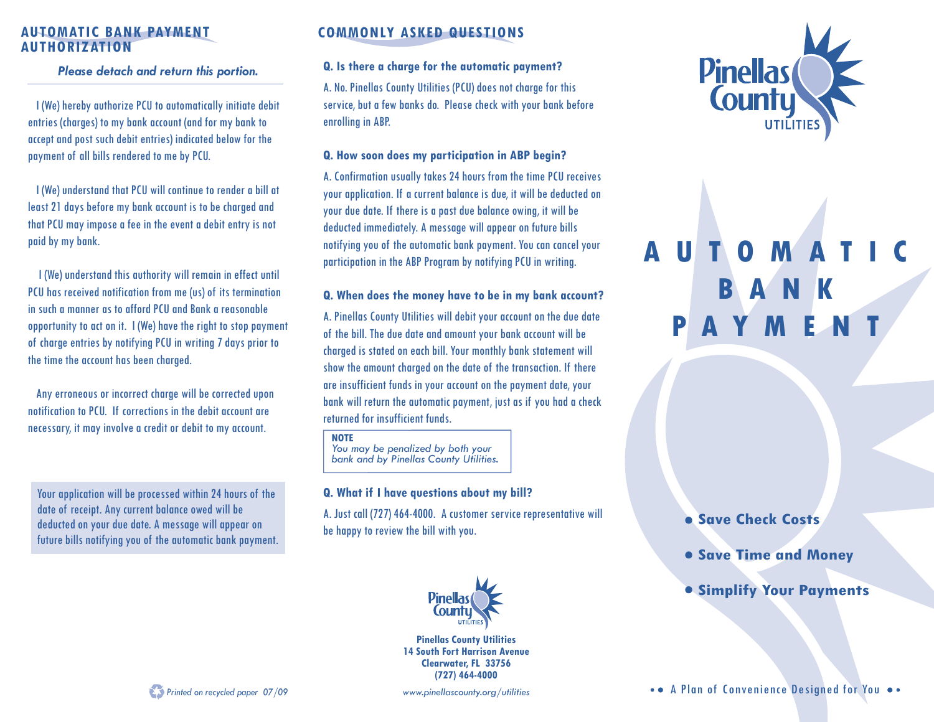# **AUTHORIZATION**

*Please detach and return this portion.*

I (We) hereby authorize PCU to automatically initiate debit entries (charges) to my bank account (and for my bank to accept and post such debit entries) indicated below for the payment of all bills rendered to me by PCU.

I (We) understand that PCU will continue to render a bill at least 21 days before my bank account is to be charged and that PCU may impose a fee in the event a debit entry is not paid by my bank.

 I (We) understand this authority will remain in effect until PCU has received notification from me (us) of its termination in such a manner as to afford PCU and Bank a reasonable opportunity to act on it. I (We) have the right to stop payment of charge entries by notifying PCU in writing 7 days prior to the time the account has been charged.

Any erroneous or incorrect charge will be corrected upon notification to PCU. If corrections in the debit account are necessary, it may involve a credit or debit to my account.

Your application will be processed within 24 hours of the date of receipt. Any current balance owed will be deducted on your due date. A message will appear on future bills notifying you of the automatic bank payment.

## **AUTOMATIC BANK PAYMENT COMMONLY ASKED QUESTIONS**

### **Q. Is there a charge for the automatic payment?**

A. No. Pinellas County Utilities (PCU) does not charge for this service, but a few banks do. Please check with your bank before enrolling in ABP.

### **Q. How soon does my participation in ABP begin?**

A. Confirmation usually takes 24 hours from the time PCU receives your application. If a current balance is due, it will be deducted on your due date. If there is a past due balance owing, it will be deducted immediately. A message will appear on future bills notifying you of the automatic bank payment. You can cancel your participation in the ABP Program by notifying PCU in writing.

### **Q. When does the money have to be in my bank account?**

A. Pinellas County Utilities will debit your account on the due date of the bill. The due date and amount your bank account will be charged is stated on each bill. Your monthly bank statement will show the amount charged on the date of the transaction. If there are insufficient funds in your account on the payment date, your bank will return the automatic payment, just as if you had a check returned for insufficient funds.

#### **NOTE**

 *You may be penalized by both your bank and by Pinellas County Utilities.*

### **Q. What if I have questions about my bill?**

A. Just call (727) 464-4000. A customer service representative will be happy to review the bill with you.



**Pinellas County Utilities 14 South Fort Harrison Avenue Clearwater, FL 33756 (727) 464-4000**





# **AUTOMATIC BANK PAYME**

## **Save Check Costs**

- **Save Time and Money**
- **Simplify Your Payments**

• • A Plan of Convenience Designed for You ••